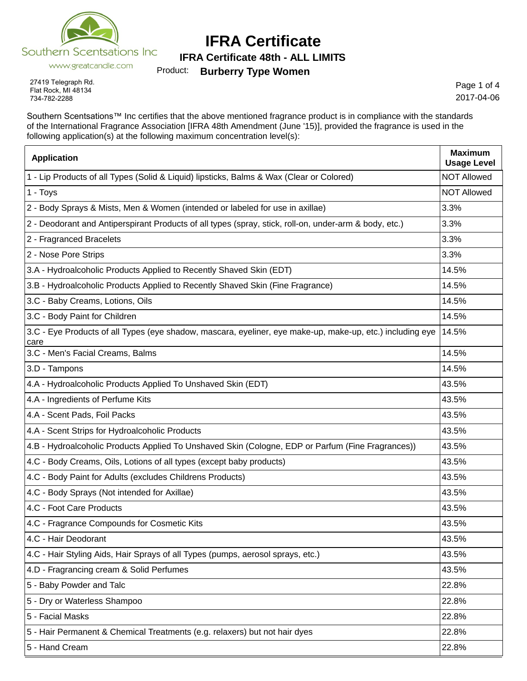

**IFRA Certificate 48th - ALL LIMITS**

Product: **Burberry Type Women**

27419 Telegraph Rd. Flat Rock, MI 48134 734-782-2288

Page 1 of 4 2017-04-06

Southern Scentsations™ Inc certifies that the above mentioned fragrance product is in compliance with the standards of the International Fragrance Association [IFRA 48th Amendment (June '15)], provided the fragrance is used in the following application(s) at the following maximum concentration level(s):

| <b>Application</b>                                                                                                | <b>Maximum</b><br><b>Usage Level</b> |
|-------------------------------------------------------------------------------------------------------------------|--------------------------------------|
| 1 - Lip Products of all Types (Solid & Liquid) lipsticks, Balms & Wax (Clear or Colored)                          | <b>NOT Allowed</b>                   |
| 1 - Toys                                                                                                          | <b>NOT Allowed</b>                   |
| 2 - Body Sprays & Mists, Men & Women (intended or labeled for use in axillae)                                     | 3.3%                                 |
| 2 - Deodorant and Antiperspirant Products of all types (spray, stick, roll-on, under-arm & body, etc.)            | 3.3%                                 |
| 2 - Fragranced Bracelets                                                                                          | 3.3%                                 |
| 2 - Nose Pore Strips                                                                                              | 3.3%                                 |
| 3.A - Hydroalcoholic Products Applied to Recently Shaved Skin (EDT)                                               | 14.5%                                |
| 3.B - Hydroalcoholic Products Applied to Recently Shaved Skin (Fine Fragrance)                                    | 14.5%                                |
| 3.C - Baby Creams, Lotions, Oils                                                                                  | 14.5%                                |
| 3.C - Body Paint for Children                                                                                     | 14.5%                                |
| 3.C - Eye Products of all Types (eye shadow, mascara, eyeliner, eye make-up, make-up, etc.) including eye<br>care | 14.5%                                |
| 3.C - Men's Facial Creams, Balms                                                                                  | 14.5%                                |
| 3.D - Tampons                                                                                                     | 14.5%                                |
| 4.A - Hydroalcoholic Products Applied To Unshaved Skin (EDT)                                                      | 43.5%                                |
| 4.A - Ingredients of Perfume Kits                                                                                 | 43.5%                                |
| 4.A - Scent Pads, Foil Packs                                                                                      | 43.5%                                |
| 4.A - Scent Strips for Hydroalcoholic Products                                                                    | 43.5%                                |
| 4.B - Hydroalcoholic Products Applied To Unshaved Skin (Cologne, EDP or Parfum (Fine Fragrances))                 | 43.5%                                |
| 4.C - Body Creams, Oils, Lotions of all types (except baby products)                                              | 43.5%                                |
| 4.C - Body Paint for Adults (excludes Childrens Products)                                                         | 43.5%                                |
| 4.C - Body Sprays (Not intended for Axillae)                                                                      | 43.5%                                |
| 4.C - Foot Care Products                                                                                          | 43.5%                                |
| 4.C - Fragrance Compounds for Cosmetic Kits                                                                       | 43.5%                                |
| 4.C - Hair Deodorant                                                                                              | 43.5%                                |
| 4.C - Hair Styling Aids, Hair Sprays of all Types (pumps, aerosol sprays, etc.)                                   | 43.5%                                |
| 4.D - Fragrancing cream & Solid Perfumes                                                                          | 43.5%                                |
| 5 - Baby Powder and Talc                                                                                          | 22.8%                                |
| 5 - Dry or Waterless Shampoo                                                                                      | 22.8%                                |
| 5 - Facial Masks                                                                                                  | 22.8%                                |
| 5 - Hair Permanent & Chemical Treatments (e.g. relaxers) but not hair dyes                                        | 22.8%                                |
| 5 - Hand Cream                                                                                                    | 22.8%                                |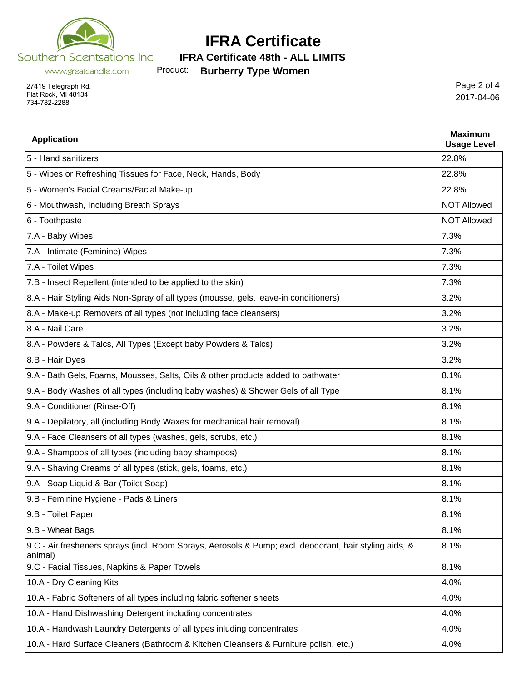

Product: **Burberry Type Women IFRA Certificate 48th - ALL LIMITS**

www.greatcandle.com

27419 Telegraph Rd. Flat Rock, MI 48134 734-782-2288

Page 2 of 4 2017-04-06

| <b>Application</b>                                                                                                | <b>Maximum</b><br><b>Usage Level</b> |
|-------------------------------------------------------------------------------------------------------------------|--------------------------------------|
| 5 - Hand sanitizers                                                                                               | 22.8%                                |
| 5 - Wipes or Refreshing Tissues for Face, Neck, Hands, Body                                                       | 22.8%                                |
| 5 - Women's Facial Creams/Facial Make-up                                                                          | 22.8%                                |
| 6 - Mouthwash, Including Breath Sprays                                                                            | <b>NOT Allowed</b>                   |
| 6 - Toothpaste                                                                                                    | <b>NOT Allowed</b>                   |
| 7.A - Baby Wipes                                                                                                  | 7.3%                                 |
| 7.A - Intimate (Feminine) Wipes                                                                                   | 7.3%                                 |
| 7.A - Toilet Wipes                                                                                                | 7.3%                                 |
| 7.B - Insect Repellent (intended to be applied to the skin)                                                       | 7.3%                                 |
| 8.A - Hair Styling Aids Non-Spray of all types (mousse, gels, leave-in conditioners)                              | 3.2%                                 |
| 8.A - Make-up Removers of all types (not including face cleansers)                                                | 3.2%                                 |
| 8.A - Nail Care                                                                                                   | 3.2%                                 |
| 8.A - Powders & Talcs, All Types (Except baby Powders & Talcs)                                                    | 3.2%                                 |
| 8.B - Hair Dyes                                                                                                   | 3.2%                                 |
| 9.A - Bath Gels, Foams, Mousses, Salts, Oils & other products added to bathwater                                  | 8.1%                                 |
| 9.A - Body Washes of all types (including baby washes) & Shower Gels of all Type                                  | 8.1%                                 |
| 9.A - Conditioner (Rinse-Off)                                                                                     | 8.1%                                 |
| 9.A - Depilatory, all (including Body Waxes for mechanical hair removal)                                          | 8.1%                                 |
| 9.A - Face Cleansers of all types (washes, gels, scrubs, etc.)                                                    | 8.1%                                 |
| 9.A - Shampoos of all types (including baby shampoos)                                                             | 8.1%                                 |
| 9.A - Shaving Creams of all types (stick, gels, foams, etc.)                                                      | 8.1%                                 |
| 9.A - Soap Liquid & Bar (Toilet Soap)                                                                             | 8.1%                                 |
| 9.B - Feminine Hygiene - Pads & Liners                                                                            | 8.1%                                 |
| 9.B - Toilet Paper                                                                                                | 8.1%                                 |
| 9.B - Wheat Bags                                                                                                  | 8.1%                                 |
| 9.C - Air fresheners sprays (incl. Room Sprays, Aerosols & Pump; excl. deodorant, hair styling aids, &<br>animal) | 8.1%                                 |
| 9.C - Facial Tissues, Napkins & Paper Towels                                                                      | 8.1%                                 |
| 10.A - Dry Cleaning Kits                                                                                          | 4.0%                                 |
| 10.A - Fabric Softeners of all types including fabric softener sheets                                             | 4.0%                                 |
| 10.A - Hand Dishwashing Detergent including concentrates                                                          | 4.0%                                 |
| 10.A - Handwash Laundry Detergents of all types inluding concentrates                                             | 4.0%                                 |
| 10.A - Hard Surface Cleaners (Bathroom & Kitchen Cleansers & Furniture polish, etc.)                              | 4.0%                                 |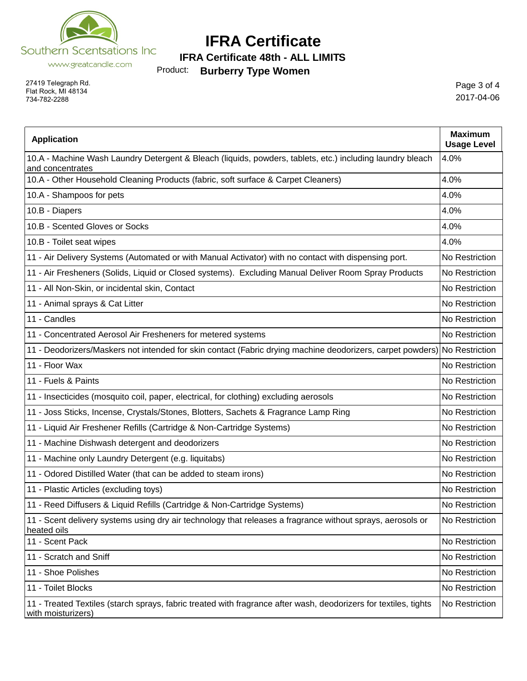

**IFRA Certificate 48th - ALL LIMITS**

Product: **Burberry Type Women**

27419 Telegraph Rd. Flat Rock, MI 48134 734-782-2288

Page 3 of 4 2017-04-06

| <b>Application</b>                                                                                                                     | <b>Maximum</b><br><b>Usage Level</b> |
|----------------------------------------------------------------------------------------------------------------------------------------|--------------------------------------|
| 10.A - Machine Wash Laundry Detergent & Bleach (liquids, powders, tablets, etc.) including laundry bleach<br>and concentrates          | 4.0%                                 |
| 10.A - Other Household Cleaning Products (fabric, soft surface & Carpet Cleaners)                                                      | 4.0%                                 |
| 10.A - Shampoos for pets                                                                                                               | 4.0%                                 |
| 10.B - Diapers                                                                                                                         | 4.0%                                 |
| 10.B - Scented Gloves or Socks                                                                                                         | 4.0%                                 |
| 10.B - Toilet seat wipes                                                                                                               | 4.0%                                 |
| 11 - Air Delivery Systems (Automated or with Manual Activator) with no contact with dispensing port.                                   | No Restriction                       |
| 11 - Air Fresheners (Solids, Liquid or Closed systems). Excluding Manual Deliver Room Spray Products                                   | No Restriction                       |
| 11 - All Non-Skin, or incidental skin, Contact                                                                                         | No Restriction                       |
| 11 - Animal sprays & Cat Litter                                                                                                        | No Restriction                       |
| 11 - Candles                                                                                                                           | No Restriction                       |
| 11 - Concentrated Aerosol Air Fresheners for metered systems                                                                           | No Restriction                       |
| 11 - Deodorizers/Maskers not intended for skin contact (Fabric drying machine deodorizers, carpet powders) No Restriction              |                                      |
| 11 - Floor Wax                                                                                                                         | No Restriction                       |
| 11 - Fuels & Paints                                                                                                                    | No Restriction                       |
| 11 - Insecticides (mosquito coil, paper, electrical, for clothing) excluding aerosols                                                  | No Restriction                       |
| 11 - Joss Sticks, Incense, Crystals/Stones, Blotters, Sachets & Fragrance Lamp Ring                                                    | No Restriction                       |
| 11 - Liquid Air Freshener Refills (Cartridge & Non-Cartridge Systems)                                                                  | No Restriction                       |
| 11 - Machine Dishwash detergent and deodorizers                                                                                        | No Restriction                       |
| 11 - Machine only Laundry Detergent (e.g. liquitabs)                                                                                   | No Restriction                       |
| 11 - Odored Distilled Water (that can be added to steam irons)                                                                         | No Restriction                       |
| 11 - Plastic Articles (excluding toys)                                                                                                 | No Restriction                       |
| 11 - Reed Diffusers & Liquid Refills (Cartridge & Non-Cartridge Systems)                                                               | No Restriction                       |
| 11 - Scent delivery systems using dry air technology that releases a fragrance without sprays, aerosols or<br>heated oils              | No Restriction                       |
| 11 - Scent Pack                                                                                                                        | No Restriction                       |
| 11 - Scratch and Sniff                                                                                                                 | No Restriction                       |
| 11 - Shoe Polishes                                                                                                                     | No Restriction                       |
| 11 - Toilet Blocks                                                                                                                     | No Restriction                       |
| 11 - Treated Textiles (starch sprays, fabric treated with fragrance after wash, deodorizers for textiles, tights<br>with moisturizers) | No Restriction                       |